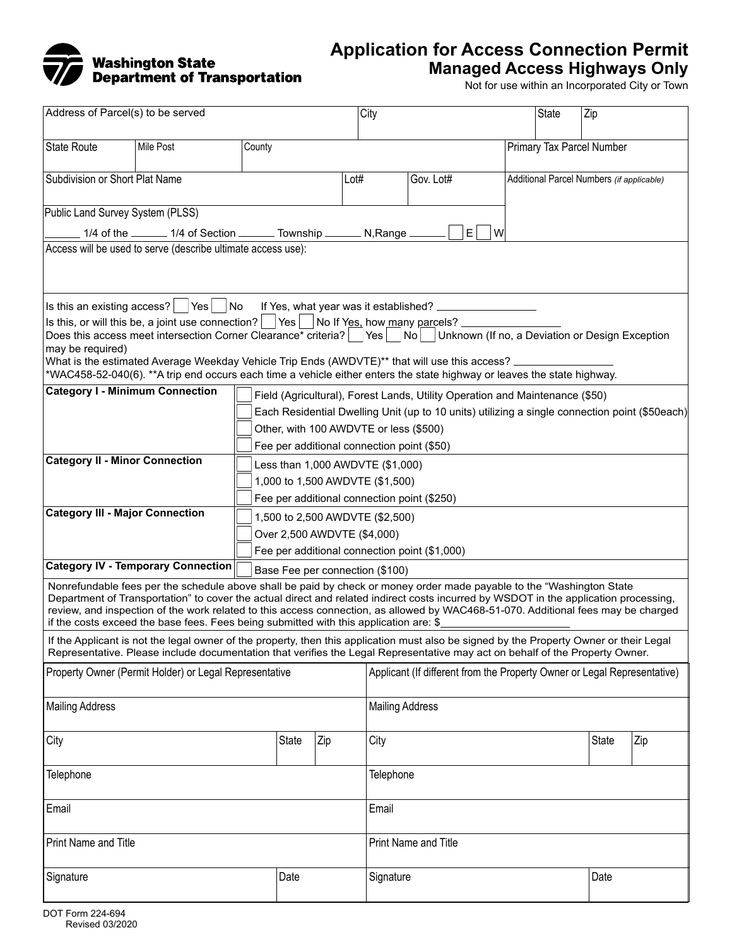

## **Application for Access Connection Permit Managed Access Highways Only**

Not for use within an Incorporated City or Town

| Address of Parcel(s) to be served                                                                                                                                                                                                                                                                                                                                                                                                                                                                                                                                                                       |                                 |                             |              |     | City                                                                                           |                                               |                           | State<br>Zip |              |     |
|---------------------------------------------------------------------------------------------------------------------------------------------------------------------------------------------------------------------------------------------------------------------------------------------------------------------------------------------------------------------------------------------------------------------------------------------------------------------------------------------------------------------------------------------------------------------------------------------------------|---------------------------------|-----------------------------|--------------|-----|------------------------------------------------------------------------------------------------|-----------------------------------------------|---------------------------|--------------|--------------|-----|
| State Route                                                                                                                                                                                                                                                                                                                                                                                                                                                                                                                                                                                             | Mile Post                       | County                      |              |     |                                                                                                |                                               | Primary Tax Parcel Number |              |              |     |
| Subdivision or Short Plat Name                                                                                                                                                                                                                                                                                                                                                                                                                                                                                                                                                                          |                                 | Lot#                        |              |     | Gov. Lot#                                                                                      | Additional Parcel Numbers (if applicable)     |                           |              |              |     |
| Public Land Survey System (PLSS)                                                                                                                                                                                                                                                                                                                                                                                                                                                                                                                                                                        |                                 |                             |              |     |                                                                                                |                                               |                           |              |              |     |
| 1/4 of the _______ 1/4 of Section _______ Township _______ N, Range _<br>ΕI<br>W                                                                                                                                                                                                                                                                                                                                                                                                                                                                                                                        |                                 |                             |              |     |                                                                                                |                                               |                           |              |              |     |
| Access will be used to serve (describe ultimate access use):                                                                                                                                                                                                                                                                                                                                                                                                                                                                                                                                            |                                 |                             |              |     |                                                                                                |                                               |                           |              |              |     |
| $ \mathsf{ls}\>$ this an existing access? $ \phantom{a} $ $ \mathsf{Yes}\phantom{a} $ $ \mathsf{No}\>$<br>Is this, or will this be, a joint use connection? $ $ $ \n $ Yes $ $ No If Yes, how many parcels?<br>Does this access meet intersection Corner Clearance* criteria?   Yes   No   Unknown (If no, a Deviation or Design Exception<br>may be required)<br>What is the estimated Average Weekday Vehicle Trip Ends (AWDVTE)** that will use this access? ____________<br>*WAC458-52-040(6). **A trip end occurs each time a vehicle either enters the state highway or leaves the state highway. |                                 |                             |              |     |                                                                                                |                                               |                           |              |              |     |
| <b>Category I - Minimum Connection</b><br>Field (Agricultural), Forest Lands, Utility Operation and Maintenance (\$50)                                                                                                                                                                                                                                                                                                                                                                                                                                                                                  |                                 |                             |              |     |                                                                                                |                                               |                           |              |              |     |
|                                                                                                                                                                                                                                                                                                                                                                                                                                                                                                                                                                                                         |                                 |                             |              |     | Each Residential Dwelling Unit (up to 10 units) utilizing a single connection point (\$50each) |                                               |                           |              |              |     |
| Other, with 100 AWDVTE or less (\$500)                                                                                                                                                                                                                                                                                                                                                                                                                                                                                                                                                                  |                                 |                             |              |     |                                                                                                |                                               |                           |              |              |     |
| Fee per additional connection point (\$50)                                                                                                                                                                                                                                                                                                                                                                                                                                                                                                                                                              |                                 |                             |              |     |                                                                                                |                                               |                           |              |              |     |
| <b>Category II - Minor Connection</b><br>Less than 1,000 AWDVTE (\$1,000)                                                                                                                                                                                                                                                                                                                                                                                                                                                                                                                               |                                 |                             |              |     |                                                                                                |                                               |                           |              |              |     |
|                                                                                                                                                                                                                                                                                                                                                                                                                                                                                                                                                                                                         | 1,000 to 1,500 AWDVTE (\$1,500) |                             |              |     |                                                                                                |                                               |                           |              |              |     |
| Fee per additional connection point (\$250)                                                                                                                                                                                                                                                                                                                                                                                                                                                                                                                                                             |                                 |                             |              |     |                                                                                                |                                               |                           |              |              |     |
| <b>Category III - Major Connection</b><br>1,500 to 2,500 AWDVTE (\$2,500)                                                                                                                                                                                                                                                                                                                                                                                                                                                                                                                               |                                 |                             |              |     |                                                                                                |                                               |                           |              |              |     |
|                                                                                                                                                                                                                                                                                                                                                                                                                                                                                                                                                                                                         |                                 | Over 2,500 AWDVTE (\$4,000) |              |     |                                                                                                |                                               |                           |              |              |     |
|                                                                                                                                                                                                                                                                                                                                                                                                                                                                                                                                                                                                         |                                 |                             |              |     |                                                                                                | Fee per additional connection point (\$1,000) |                           |              |              |     |
| <b>Category IV - Temporary Connection</b><br>Base Fee per connection (\$100)                                                                                                                                                                                                                                                                                                                                                                                                                                                                                                                            |                                 |                             |              |     |                                                                                                |                                               |                           |              |              |     |
| Nonrefundable fees per the schedule above shall be paid by check or money order made payable to the "Washington State<br>Department of Transportation" to cover the actual direct and related indirect costs incurred by WSDOT in the application processing,<br>review, and inspection of the work related to this access connection, as allowed by WAC468-51-070. Additional fees may be charged<br>if the costs exceed the base fees. Fees being submitted with this application are: \$                                                                                                             |                                 |                             |              |     |                                                                                                |                                               |                           |              |              |     |
| If the Applicant is not the legal owner of the property, then this application must also be signed by the Property Owner or their Legal<br>Representative. Please include documentation that verifies the Legal Representative may act on behalf of the Property Owner.                                                                                                                                                                                                                                                                                                                                 |                                 |                             |              |     |                                                                                                |                                               |                           |              |              |     |
| Property Owner (Permit Holder) or Legal Representative                                                                                                                                                                                                                                                                                                                                                                                                                                                                                                                                                  |                                 |                             |              |     | Applicant (If different from the Property Owner or Legal Representative)                       |                                               |                           |              |              |     |
| <b>Mailing Address</b>                                                                                                                                                                                                                                                                                                                                                                                                                                                                                                                                                                                  |                                 |                             |              |     | <b>Mailing Address</b>                                                                         |                                               |                           |              |              |     |
| City                                                                                                                                                                                                                                                                                                                                                                                                                                                                                                                                                                                                    |                                 |                             | <b>State</b> | Zip | City                                                                                           |                                               |                           |              | <b>State</b> | Zip |
| Telephone                                                                                                                                                                                                                                                                                                                                                                                                                                                                                                                                                                                               |                                 |                             |              |     | Telephone                                                                                      |                                               |                           |              |              |     |
| Email                                                                                                                                                                                                                                                                                                                                                                                                                                                                                                                                                                                                   |                                 |                             |              |     | Email                                                                                          |                                               |                           |              |              |     |
| Print Name and Title                                                                                                                                                                                                                                                                                                                                                                                                                                                                                                                                                                                    |                                 |                             |              |     | Print Name and Title                                                                           |                                               |                           |              |              |     |
| Signature                                                                                                                                                                                                                                                                                                                                                                                                                                                                                                                                                                                               |                                 |                             | Date         |     | Signature                                                                                      | Date                                          |                           |              |              |     |